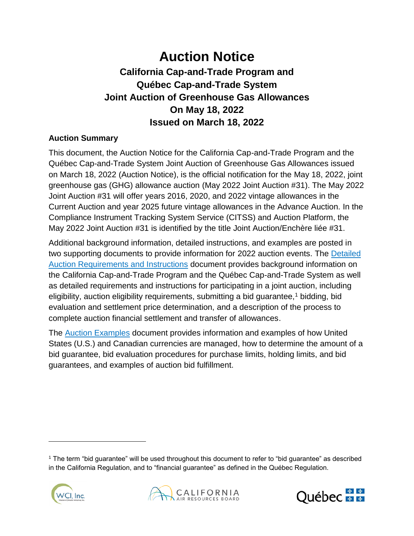# **Auction Notice**

# **California Cap-and-Trade Program and Québec Cap-and-Trade System Joint Auction of Greenhouse Gas Allowances On May 18, 2022 Issued on March 18, 2022**

# **Auction Summary**

This document, the Auction Notice for the California Cap-and-Trade Program and the Québec Cap-and-Trade System Joint Auction of Greenhouse Gas Allowances issued on March 18, 2022 (Auction Notice), is the official notification for the May 18, 2022, joint greenhouse gas (GHG) allowance auction (May 2022 Joint Auction #31). The May 2022 Joint Auction #31 will offer years 2016, 2020, and 2022 vintage allowances in the Current Auction and year 2025 future vintage allowances in the Advance Auction. In the Compliance Instrument Tracking System Service (CITSS) and Auction Platform, the May 2022 Joint Auction #31 is identified by the title Joint Auction/Enchère liée #31.

Additional background information, detailed instructions, and examples are posted in two supporting documents to provide information for 2022 auction events. The [Detailed](https://environnement.gouv.qc.ca/changements/carbone/ventes-encheres/exigences-instructions-detaillees-en.pdf)  [Auction Requirements and Instructions](https://environnement.gouv.qc.ca/changements/carbone/ventes-encheres/exigences-instructions-detaillees-en.pdf) document provides background information on the California Cap-and-Trade Program and the Québec Cap-and-Trade System as well as detailed requirements and instructions for participating in a joint auction, including eligibility, auction eligibility requirements, submitting a bid guarantee,<sup>1</sup> bidding, bid evaluation and settlement price determination, and a description of the process to complete auction financial settlement and transfer of allowances.

The [Auction Examples](https://environnement.gouv.qc.ca/changements/carbone/ventes-encheres/Exemples-calculs-en.pdf) document provides information and examples of how United States (U.S.) and Canadian currencies are managed, how to determine the amount of a bid guarantee, bid evaluation procedures for purchase limits, holding limits, and bid guarantees, and examples of auction bid fulfillment.

<sup>1</sup> The term "bid guarantee" will be used throughout this document to refer to "bid guarantee" as described in the California Regulation, and to "financial guarantee" as defined in the Québec Regulation.





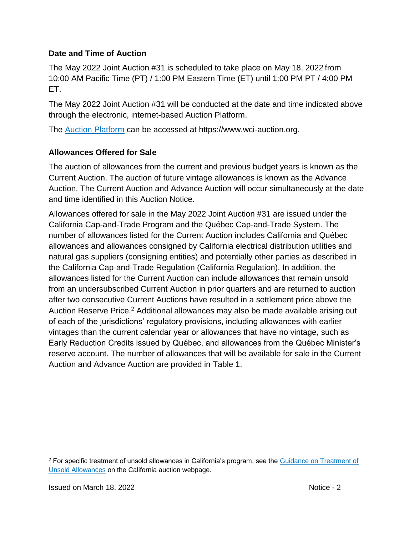#### **Date and Time of Auction**

The May 2022 Joint Auction #31 is scheduled to take place on May 18, 2022 from 10:00 AM Pacific Time (PT) / 1:00 PM Eastern Time (ET) until 1:00 PM PT / 4:00 PM ET.

The May 2022 Joint Auction #31 will be conducted at the date and time indicated above through the electronic, internet-based Auction Platform.

The [Auction Platform](https://www.wci-auction.org/) can be accessed at https://www.wci-auction.org.

# **Allowances Offered for Sale**

The auction of allowances from the current and previous budget years is known as the Current Auction. The auction of future vintage allowances is known as the Advance Auction. The Current Auction and Advance Auction will occur simultaneously at the date and time identified in this Auction Notice.

Allowances offered for sale in the May 2022 Joint Auction #31 are issued under the California Cap-and-Trade Program and the Québec Cap-and-Trade System. The number of allowances listed for the Current Auction includes California and Québec allowances and allowances consigned by California electrical distribution utilities and natural gas suppliers (consigning entities) and potentially other parties as described in the California Cap-and-Trade Regulation (California Regulation). In addition, the allowances listed for the Current Auction can include allowances that remain unsold from an undersubscribed Current Auction in prior quarters and are returned to auction after two consecutive Current Auctions have resulted in a settlement price above the Auction Reserve Price.<sup>2</sup> Additional allowances may also be made available arising out of each of the jurisdictions' regulatory provisions, including allowances with earlier vintages than the current calendar year or allowances that have no vintage, such as Early Reduction Credits issued by Québec, and allowances from the Québec Minister's reserve account. The number of allowances that will be available for sale in the Current Auction and Advance Auction are provided in [Table 1.](#page-2-0)

<sup>2</sup> For specific treatment of unsold allowances in California's program, see the [Guidance on Treatment of](https://www.arb.ca.gov/cc/capandtrade/guidance/guidance_unsold_allowances.pdf)  [Unsold Allowances](https://www.arb.ca.gov/cc/capandtrade/guidance/guidance_unsold_allowances.pdf) on the California auction webpage.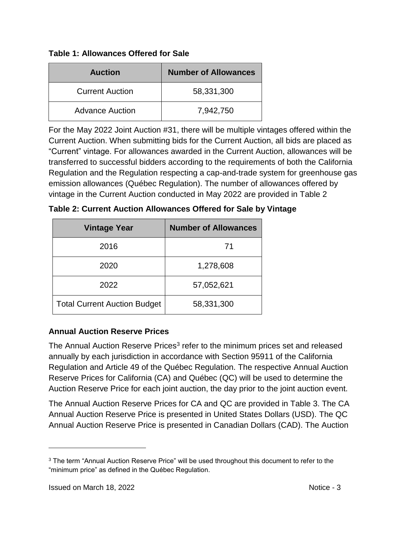<span id="page-2-0"></span>

| <b>Table 1: Allowances Offered for Sale</b> |  |
|---------------------------------------------|--|
|---------------------------------------------|--|

| <b>Auction</b>         | <b>Number of Allowances</b> |  |
|------------------------|-----------------------------|--|
| <b>Current Auction</b> | 58,331,300                  |  |
| <b>Advance Auction</b> | 7,942,750                   |  |

For the May 2022 Joint Auction #31, there will be multiple vintages offered within the Current Auction. When submitting bids for the Current Auction, all bids are placed as "Current" vintage. For allowances awarded in the Current Auction, allowances will be transferred to successful bidders according to the requirements of both the California Regulation and the Regulation respecting a cap-and-trade system for greenhouse gas emission allowances (Québec Regulation). The number of allowances offered by vintage in the Current Auction conducted in May 2022 are provided in [Table 2](#page-2-1)

<span id="page-2-1"></span>

| Table 2: Current Auction Allowances Offered for Sale by Vintage |  |  |  |  |  |
|-----------------------------------------------------------------|--|--|--|--|--|
|-----------------------------------------------------------------|--|--|--|--|--|

| <b>Vintage Year</b>                 | <b>Number of Allowances</b> |
|-------------------------------------|-----------------------------|
| 2016                                | 71                          |
| 2020                                | 1,278,608                   |
| 2022                                | 57,052,621                  |
| <b>Total Current Auction Budget</b> | 58,331,300                  |

#### **Annual Auction Reserve Prices**

The Annual Auction Reserve Prices<sup>3</sup> refer to the minimum prices set and released annually by each jurisdiction in accordance with Section 95911 of the California Regulation and Article 49 of the Québec Regulation. The respective Annual Auction Reserve Prices for California (CA) and Québec (QC) will be used to determine the Auction Reserve Price for each joint auction, the day prior to the joint auction event.

The Annual Auction Reserve Prices for CA and QC are provided in [Table 3.](#page-3-0) The CA Annual Auction Reserve Price is presented in United States Dollars (USD). The QC Annual Auction Reserve Price is presented in Canadian Dollars (CAD). The Auction

<sup>&</sup>lt;sup>3</sup> The term "Annual Auction Reserve Price" will be used throughout this document to refer to the "minimum price" as defined in the Québec Regulation.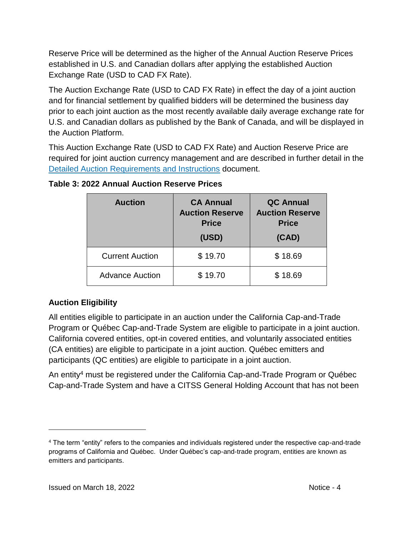Reserve Price will be determined as the higher of the Annual Auction Reserve Prices established in U.S. and Canadian dollars after applying the established Auction Exchange Rate (USD to CAD FX Rate).

The Auction Exchange Rate (USD to CAD FX Rate) in effect the day of a joint auction and for financial settlement by qualified bidders will be determined the business day prior to each joint auction as the most recently available daily average exchange rate for U.S. and Canadian dollars as published by the Bank of Canada, and will be displayed in the Auction Platform.

This Auction Exchange Rate (USD to CAD FX Rate) and Auction Reserve Price are required for joint auction currency management and are described in further detail in the [Detailed Auction Requirements and Instructions](https://environnement.gouv.qc.ca/changements/carbone/ventes-encheres/exigences-instructions-detaillees-en.pdf) document.

| <b>Auction</b>         | <b>CA Annual</b><br><b>Auction Reserve</b><br><b>Price</b><br>(USD) | <b>QC Annual</b><br><b>Auction Reserve</b><br><b>Price</b><br>(CAD) |
|------------------------|---------------------------------------------------------------------|---------------------------------------------------------------------|
| <b>Current Auction</b> | \$19.70                                                             | \$18.69                                                             |
| <b>Advance Auction</b> | \$19.70                                                             | \$18.69                                                             |

#### <span id="page-3-0"></span>**Table 3: 2022 Annual Auction Reserve Prices**

# **Auction Eligibility**

All entities eligible to participate in an auction under the California Cap-and-Trade Program or Québec Cap-and-Trade System are eligible to participate in a joint auction. California covered entities, opt-in covered entities, and voluntarily associated entities (CA entities) are eligible to participate in a joint auction. Québec emitters and participants (QC entities) are eligible to participate in a joint auction.

An entity<sup>4</sup> must be registered under the California Cap-and-Trade Program or Québec Cap-and-Trade System and have a CITSS General Holding Account that has not been

<sup>4</sup> The term "entity" refers to the companies and individuals registered under the respective cap-and-trade programs of California and Québec. Under Québec's cap-and-trade program, entities are known as emitters and participants.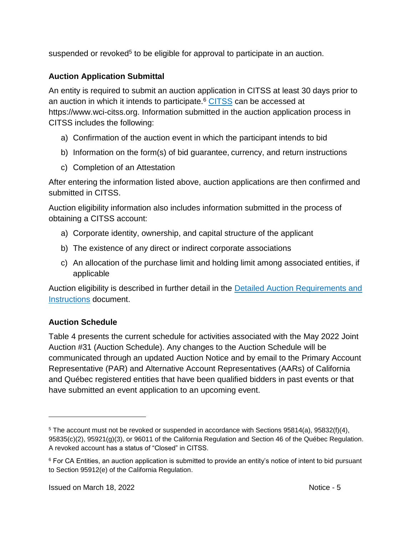suspended or revoked<sup>5</sup> to be eligible for approval to participate in an auction.

# **Auction Application Submittal**

An entity is required to submit an auction application in CITSS at least 30 days prior to an auction in which it intends to participate.<sup>6</sup> [CITSS](https://www.wci-citss.org/) can be accessed at https://www.wci-citss.org. Information submitted in the auction application process in CITSS includes the following:

- a) Confirmation of the auction event in which the participant intends to bid
- b) Information on the form(s) of bid guarantee, currency, and return instructions
- c) Completion of an Attestation

After entering the information listed above, auction applications are then confirmed and submitted in CITSS.

Auction eligibility information also includes information submitted in the process of obtaining a CITSS account:

- a) Corporate identity, ownership, and capital structure of the applicant
- b) The existence of any direct or indirect corporate associations
- c) An allocation of the purchase limit and holding limit among associated entities, if applicable

Auction eligibility is described in further detail in the [Detailed Auction Requirements and](https://environnement.gouv.qc.ca/changements/carbone/ventes-encheres/exigences-instructions-detaillees-en.pdf)  [Instructions](https://environnement.gouv.qc.ca/changements/carbone/ventes-encheres/exigences-instructions-detaillees-en.pdf) document.

# **Auction Schedule**

 $\overline{a}$ 

[Table 4](#page-5-0) presents the current schedule for activities associated with the May 2022 Joint Auction #31 (Auction Schedule). Any changes to the Auction Schedule will be communicated through an updated Auction Notice and by email to the Primary Account Representative (PAR) and Alternative Account Representatives (AARs) of California and Québec registered entities that have been qualified bidders in past events or that have submitted an event application to an upcoming event.

<sup>5</sup> The account must not be revoked or suspended in accordance with Sections 95814(a), 95832(f)(4), 95835(c)(2), 95921(g)(3), or 96011 of the California Regulation and Section 46 of the Québec Regulation. A revoked account has a status of "Closed" in CITSS.

<sup>&</sup>lt;sup>6</sup> For CA Entities, an auction application is submitted to provide an entity's notice of intent to bid pursuant to Section 95912(e) of the California Regulation.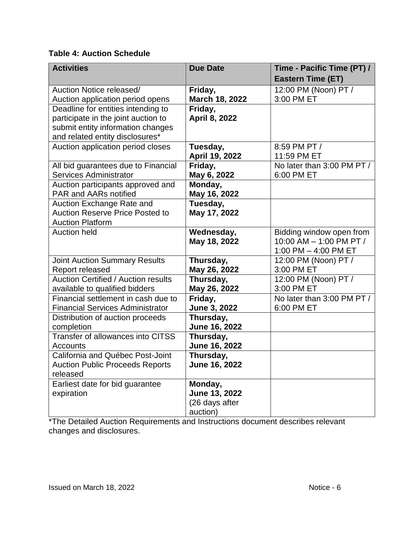#### <span id="page-5-0"></span>**Table 4: Auction Schedule**

| <b>Activities</b>                                   | <b>Due Date</b> | Time - Pacific Time (PT) / |
|-----------------------------------------------------|-----------------|----------------------------|
|                                                     |                 | <b>Eastern Time (ET)</b>   |
| Auction Notice released/                            | Friday,         | 12:00 PM (Noon) PT /       |
| Auction application period opens                    | March 18, 2022  | 3:00 PM ET                 |
| Deadline for entities intending to                  | Friday,         |                            |
| participate in the joint auction to                 | April 8, 2022   |                            |
| submit entity information changes                   |                 |                            |
| and related entity disclosures*                     |                 |                            |
| Auction application period closes                   | Tuesday,        | 8:59 PM PT /               |
|                                                     | April 19, 2022  | 11:59 PM ET                |
| All bid guarantees due to Financial                 | Friday,         | No later than 3:00 PM PT / |
| <b>Services Administrator</b>                       | May 6, 2022     | 6:00 PM ET                 |
| Auction participants approved and                   | Monday,         |                            |
| <b>PAR and AARs notified</b>                        | May 16, 2022    |                            |
| Auction Exchange Rate and                           | Tuesday,        |                            |
| <b>Auction Reserve Price Posted to</b>              | May 17, 2022    |                            |
| <b>Auction Platform</b>                             |                 |                            |
| <b>Auction held</b>                                 | Wednesday,      | Bidding window open from   |
|                                                     | May 18, 2022    | 10:00 AM - 1:00 PM PT /    |
|                                                     |                 | 1:00 PM $-$ 4:00 PM ET     |
| <b>Joint Auction Summary Results</b>                | Thursday,       | 12:00 PM (Noon) PT /       |
| Report released                                     | May 26, 2022    | 3:00 PM ET                 |
| <b>Auction Certified / Auction results</b>          | Thursday,       | 12:00 PM (Noon) PT /       |
| available to qualified bidders                      | May 26, 2022    | 3:00 PM ET                 |
| Financial settlement in cash due to                 | Friday,         | No later than 3:00 PM PT / |
| <b>Financial Services Administrator</b>             | June 3, 2022    | 6:00 PM ET                 |
| Distribution of auction proceeds                    | Thursday,       |                            |
| completion<br>Transfer of allowances into CITSS     | June 16, 2022   |                            |
|                                                     | Thursday,       |                            |
| <b>Accounts</b><br>California and Québec Post-Joint | June 16, 2022   |                            |
|                                                     | Thursday,       |                            |
| <b>Auction Public Proceeds Reports</b><br>released  | June 16, 2022   |                            |
| Earliest date for bid guarantee                     | Monday,         |                            |
| expiration                                          | June 13, 2022   |                            |
|                                                     | (26 days after  |                            |
|                                                     | auction)        |                            |
|                                                     |                 |                            |

\*The Detailed Auction Requirements and Instructions document describes relevant changes and disclosures.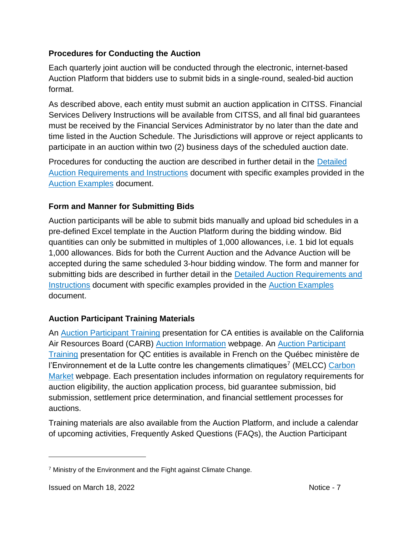#### **Procedures for Conducting the Auction**

Each quarterly joint auction will be conducted through the electronic, internet-based Auction Platform that bidders use to submit bids in a single-round, sealed-bid auction format.

As described above, each entity must submit an auction application in CITSS. Financial Services Delivery Instructions will be available from CITSS, and all final bid guarantees must be received by the Financial Services Administrator by no later than the date and time listed in the Auction Schedule. The Jurisdictions will approve or reject applicants to participate in an auction within two (2) business days of the scheduled auction date.

Procedures for conducting the auction are described in further detail in the [Detailed](https://environnement.gouv.qc.ca/changements/carbone/ventes-encheres/exigences-instructions-detaillees-en.pdf)  [Auction Requirements and Instructions](https://environnement.gouv.qc.ca/changements/carbone/ventes-encheres/exigences-instructions-detaillees-en.pdf) document with specific examples provided in the [Auction Examples](https://environnement.gouv.qc.ca/changements/carbone/ventes-encheres/Exemples-calculs-en.pdf) document.

# **Form and Manner for Submitting Bids**

Auction participants will be able to submit bids manually and upload bid schedules in a pre-defined Excel template in the Auction Platform during the bidding window. Bid quantities can only be submitted in multiples of 1,000 allowances, i.e. 1 bid lot equals 1,000 allowances. Bids for both the Current Auction and the Advance Auction will be accepted during the same scheduled 3-hour bidding window. The form and manner for submitting bids are described in further detail in the **Detailed Auction Requirements and** [Instructions](https://environnement.gouv.qc.ca/changements/carbone/ventes-encheres/exigences-instructions-detaillees-en.pdf) document with specific examples provided in the [Auction Examples](https://environnement.gouv.qc.ca/changements/carbone/ventes-encheres/Exemples-calculs-en.pdf) document.

# **Auction Participant Training Materials**

An [Auction Participant Training](https://ww3.arb.ca.gov/cc/capandtrade/auction/trainingpresentation.pdf) presentation for CA entities is available on the California Air Resources Board (CARB) [Auction Information](https://ww3.arb.ca.gov/cc/capandtrade/auction/auction.htm) webpage. An [Auction Participant](http://environnement.gouv.qc.ca/changements/carbone/Webinaire/formation-participants-vente-conjointe.pdf)  [Training](http://environnement.gouv.qc.ca/changements/carbone/Webinaire/formation-participants-vente-conjointe.pdf) presentation for QC entities is available in French on the Québec ministère de l'Environnement et de la Lutte contre les changements climatiques<sup>7</sup> (MELCC) Carbon [Market](http://www.environnement.gouv.qc.ca/changementsclimatiques/marche-carbone_en.asp) webpage. Each presentation includes information on regulatory requirements for auction eligibility, the auction application process, bid guarantee submission, bid submission, settlement price determination, and financial settlement processes for auctions.

Training materials are also available from the Auction Platform, and include a calendar of upcoming activities, Frequently Asked Questions (FAQs), the Auction Participant

<sup>7</sup> Ministry of the Environment and the Fight against Climate Change.